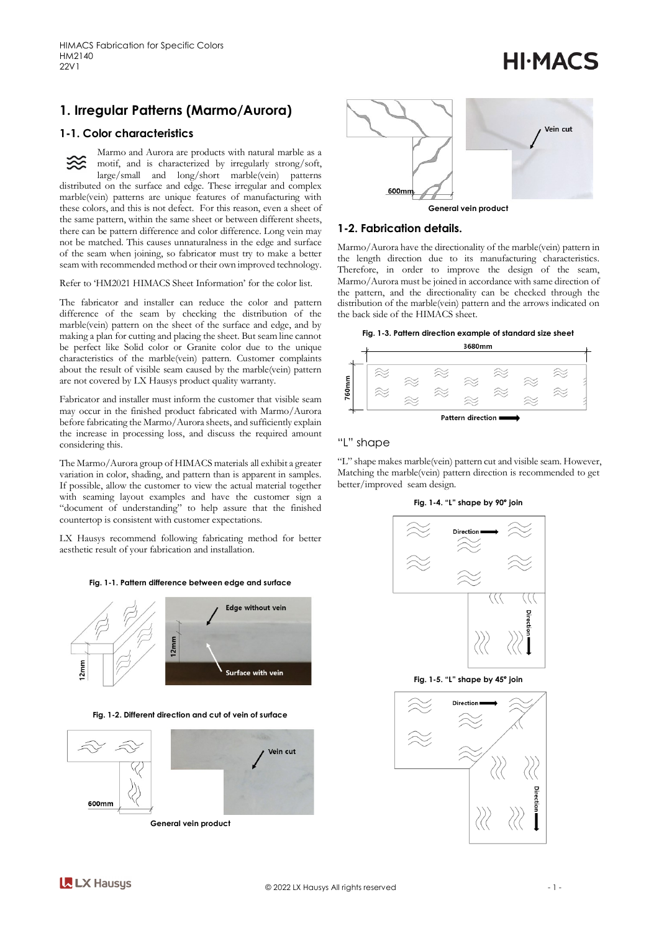(Marmo/Aurora)

# **HI-MACS**







Fabricator and installer must inform the customer that visible seam may occur in the finished product fabricated with Marmo/ Aurora before fabricating the Marmo/Aurora sheets, and sufficiently explain the increase in processing loss, and discuss the required amount considering this.

The Marmo/Aurora group of HIMACS materials all exhibit a greater variation in color, shading, and pattern than is apparent in samples. If possible, allow the customer to view the actual material together with seaming layout examples and have the customer sign a GRXPHOXXQHUDQLOMODVVXU

**KAWAV ILO KG** countertop is consistent with customer



Fig. 1-2. Different direction and cut of vein of surface





## 1-2. Fabrication details.

Marmo/Aurora have the directionality of the marble(vein) pattern in the length direction due to its manufacturing characteristics. Therefore, in order to improve the design of the seam, Marmo/Aurora must be joined in accordance with same direction of the pattern, and the directionality can be checked through the distribution of the marble(vein) pattern and the arrows indicated on the back side of the HIMACS sheet.

Fig. 1-3. Pattern direction example of standard size sheet



# "L" shape

"L" shape makes marble(vein) pattern cut and visible seam. However, Matching the marble(vein) pattern direction is recommended to get better/improved seam design.

Fig. 1-4. "L" shape by 90° join



Fig. 1-5. "L" shape by 45° join

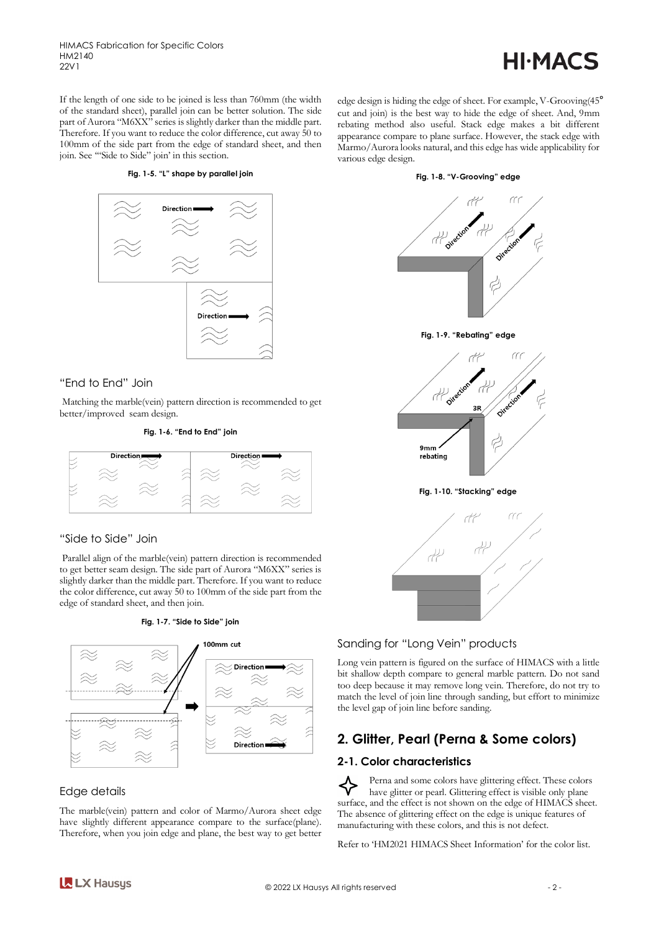HIMACS Fabrication for Specific Colors HM2140 22V1

# **HI-MACS**

If the length of one side to be joined is less than 760mm (the width of the standard sheet), parallel join can be better solution. The side part of Aurora "M6XX" series is slightly darker than the middle part. Therefore. If you want to reduce the color difference, cut away 50 to 100mm of the side part from the edge of standard sheet, and then join. See '"Side to Side" join' in this section.

#### **Fig. 1-5. "L" shape by parallel join**



# "End to End" Join

Matching the marble(vein) pattern direction is recommended to get better/improved seam design.

#### **Fig. 1-6. "End to End" join**



## "Side to Side" Join

Parallel align of the marble(vein) pattern direction is recommended to get better seam design. The side part of Aurora "M6XX" series is slightly darker than the middle part. Therefore. If you want to reduce the color difference, cut away 50 to 100mm of the side part from the edge of standard sheet, and then join.





# Edge details

The marble(vein) pattern and color of Marmo/Aurora sheet edge have slightly different appearance compare to the surface(plane). Therefore, when you join edge and plane, the best way to get better edge design is hiding the edge of sheet. For example, V-Grooving(45° cut and join) is the best way to hide the edge of sheet. And, 9mm rebating method also useful. Stack edge makes a bit different appearance compare to plane surface. However, the stack edge with Marmo/Aurora looks natural, and this edge has wide applicability for various edge design.

#### **Fig. 1-8. "V-Grooving" edge**



### Sanding for "Long Vein" products

Long vein pattern is figured on the surface of HIMACS with a little bit shallow depth compare to general marble pattern. Do not sand too deep because it may remove long vein. Therefore, do not try to match the level of join line through sanding, but effort to minimize the level gap of join line before sanding.

# **2. Glitter, Pearl (Perna & Some colors)**

### **2-1. Color characteristics**

Perna and some colors have glittering effect. These colors have glitter or pearl. Glittering effect is visible only plane surface, and the effect is not shown on the edge of HIMACS sheet. The absence of glittering effect on the edge is unique features of manufacturing with these colors, and this is not defect.

Refer to 'HM2021 HIMACS Sheet Information' for the color list.